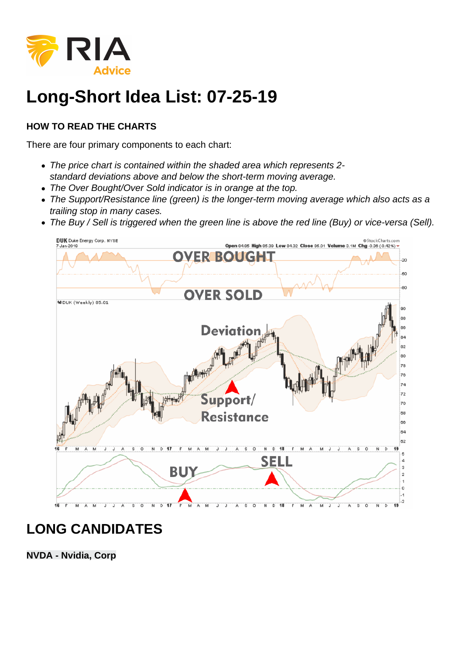

# **Long-Short Idea List: 07-25-19**

#### **HOW TO READ THE CHARTS**

There are four primary components to each chart:

- The price chart is contained within the shaded area which represents 2 standard deviations above and below the short-term moving average.
- The Over Bought/Over Sold indicator is in orange at the top.
- The Support/Resistance line (green) is the longer-term moving average which also acts as a trailing stop in many cases.
- The Buy / Sell is triggered when the green line is above the red line (Buy) or vice-versa (Sell).



### **LONG CANDIDATES**

**NVDA - Nvidia, Corp**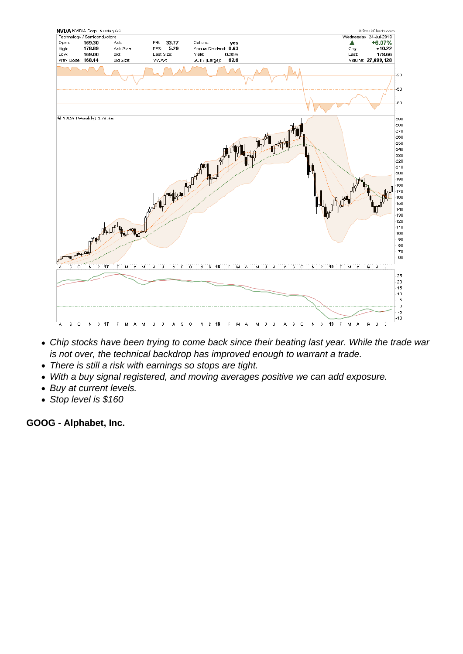- Chip stocks have been trying to come back since their beating last year. While the trade war is not over, the technical backdrop has improved enough to warrant a trade.
- There is still a risk with earnings so stops are tight.
- With a buy signal registered, and moving averages positive we can add exposure.
- Buy at current levels.
- Stop level is \$160

GOOG - Alphabet, Inc.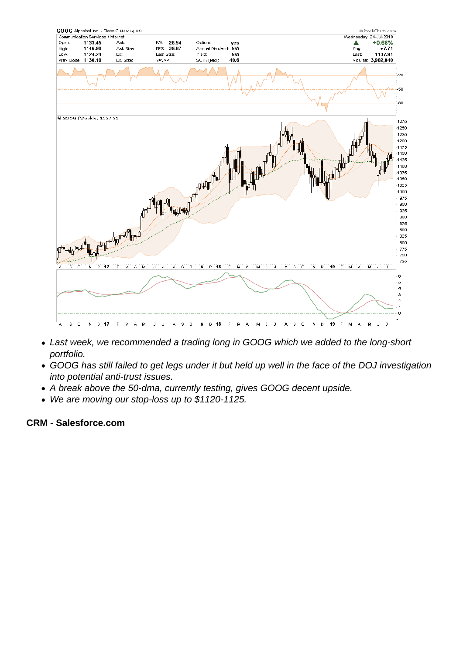- Last week, we recommended a trading long in GOOG which we added to the long-short portfolio.
- GOOG has still failed to get legs under it but held up well in the face of the DOJ investigation into potential anti-trust issues.
- A break above the 50-dma, currently testing, gives GOOG decent upside.
- We are moving our stop-loss up to \$1120-1125.

CRM - Salesforce.com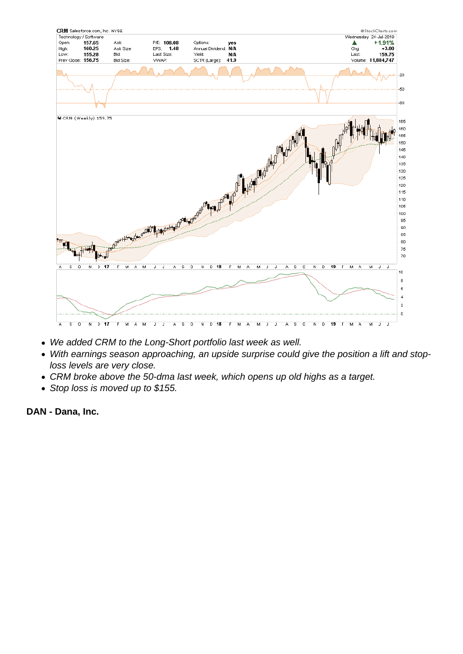- We added CRM to the Long-Short portfolio last week as well.
- With earnings season approaching, an upside surprise could give the position a lift and stoploss levels are very close.
- CRM broke above the 50-dma last week, which opens up old highs as a target.
- Stop loss is moved up to \$155.

DAN - Dana, Inc.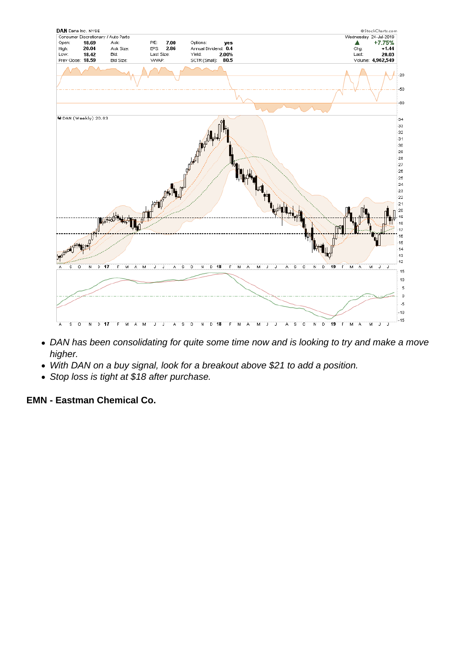- DAN has been consolidating for quite some time now and is looking to try and make a move higher.
- With DAN on a buy signal, look for a breakout above \$21 to add a position.
- Stop loss is tight at \$18 after purchase.

EMN - Eastman Chemical Co.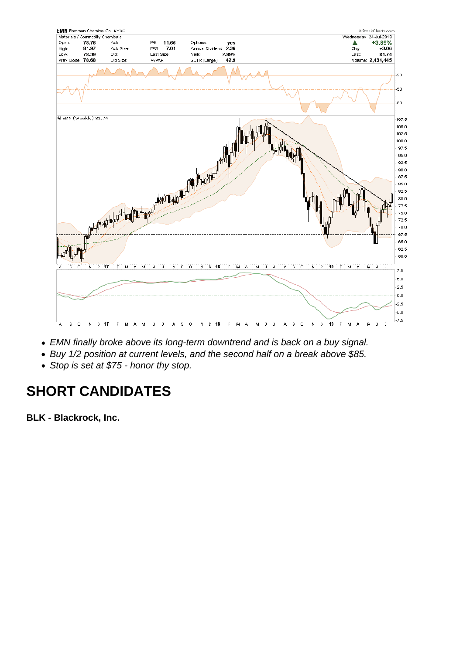- EMN finally broke above its long-term downtrend and is back on a buy signal.
- Buy 1/2 position at current levels, and the second half on a break above \$85.
- Stop is set at \$75 honor thy stop.

## SHORT CANDIDATES

BLK - Blackrock, Inc.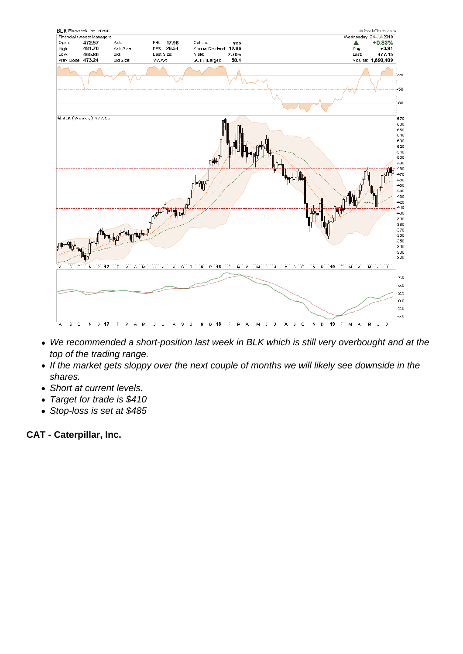- We recommended a short-position last week in BLK which is still very overbought and at the top of the trading range.
- If the market gets sloppy over the next couple of months we will likely see downside in the shares.
- Short at current levels.
- Target for trade is \$410
- Stop-loss is set at \$485

CAT - Caterpillar, Inc.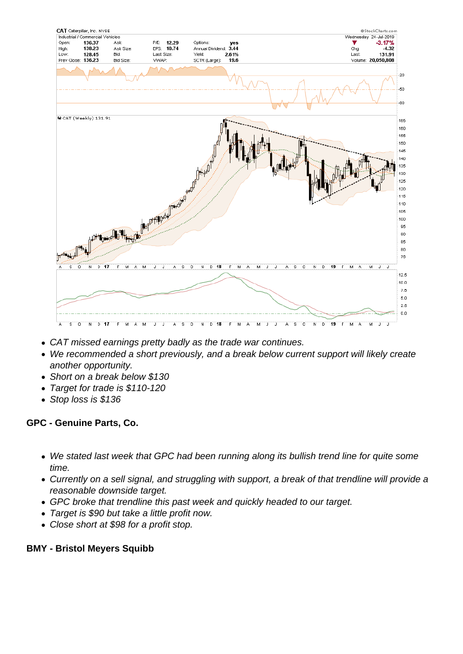- CAT missed earnings pretty badly as the trade war continues.
- We recommended a short previously, and a break below current support will likely create another opportunity.
- Short on a break below \$130
- Target for trade is \$110-120
- Stop loss is \$136

GPC - Genuine Parts, Co.

- We stated last week that GPC had been running along its bullish trend line for quite some time.
- Currently on a sell signal, and struggling with support, a break of that trendline will provide a reasonable downside target.
- GPC broke that trendline this past week and quickly headed to our target.
- Target is \$90 but take a little profit now.
- Close short at \$98 for a profit stop.

BMY - Bristol Meyers Squibb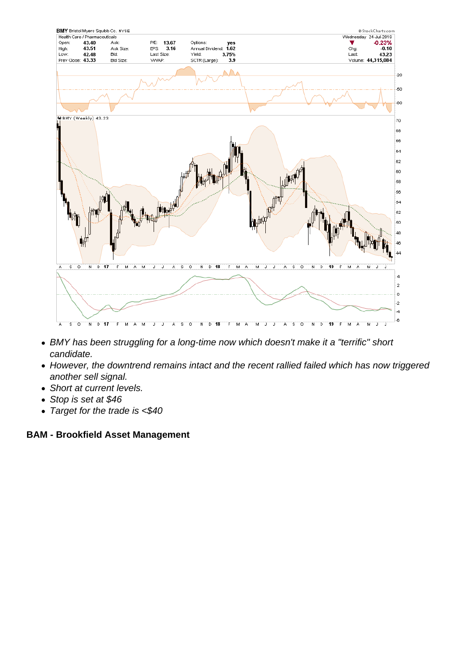

- BMY has been struggling for a long-time now which doesn't make it a "terrific" short candidate.
- However, the downtrend remains intact and the recent rallied failed which has now triggered another sell signal.
- Short at current levels.
- Stop is set at \$46
- Target for the trade is <\$40

#### **BAM - Brookfield Asset Management**